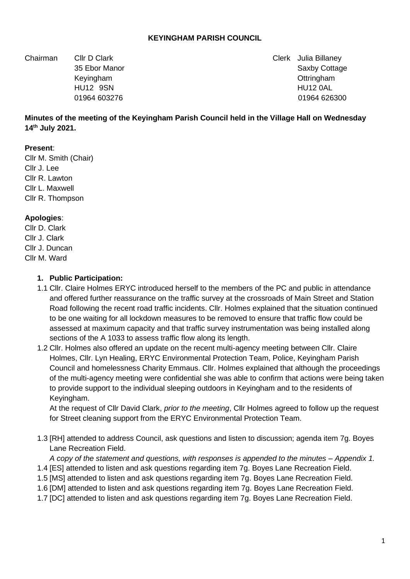#### **KEYINGHAM PARISH COUNCIL**

Chairman Cllr D Clark Clerk Julia Billaney

35 Ebor Manor Saxby Cottage 35 Ebor Manor Saxby Cottage 35 Ebor Manor Saxby Cottage Keyingham Ottringham HU12 9SN HU12 0AL 01964 603276 01964 626300

#### **Minutes of the meeting of the Keyingham Parish Council held in the Village Hall on Wednesday 14th July 2021.**

#### **Present**:

Cllr M. Smith (Chair) Cllr J. Lee Cllr R. Lawton Cllr L. Maxwell Cllr R. Thompson

#### **Apologies**:

Cllr D. Clark Cllr J. Clark Cllr J. Duncan Cllr M. Ward

#### **1. Public Participation:**

- 1.1 Cllr. Claire Holmes ERYC introduced herself to the members of the PC and public in attendance and offered further reassurance on the traffic survey at the crossroads of Main Street and Station Road following the recent road traffic incidents. Cllr. Holmes explained that the situation continued to be one waiting for all lockdown measures to be removed to ensure that traffic flow could be assessed at maximum capacity and that traffic survey instrumentation was being installed along sections of the A 1033 to assess traffic flow along its length.
- 1.2 Cllr. Holmes also offered an update on the recent multi-agency meeting between Cllr. Claire Holmes, Cllr. Lyn Healing, ERYC Environmental Protection Team, Police, Keyingham Parish Council and homelessness Charity Emmaus. Cllr. Holmes explained that although the proceedings of the multi-agency meeting were confidential she was able to confirm that actions were being taken to provide support to the individual sleeping outdoors in Keyingham and to the residents of Keyingham.

At the request of Cllr David Clark, *prior to the meeting*, Cllr Holmes agreed to follow up the request for Street cleaning support from the ERYC Environmental Protection Team.

1.3 [RH] attended to address Council, ask questions and listen to discussion; agenda item 7g. Boyes Lane Recreation Field.

*A copy of the statement and questions, with responses is appended to the minutes – Appendix 1.* 1.4 [ES] attended to listen and ask questions regarding item 7g. Boyes Lane Recreation Field.

- 1.5 [MS] attended to listen and ask questions regarding item 7g. Boyes Lane Recreation Field.
- 1.6 [DM] attended to listen and ask questions regarding item 7g. Boyes Lane Recreation Field.
- 1.7 [DC] attended to listen and ask questions regarding item 7g. Boyes Lane Recreation Field.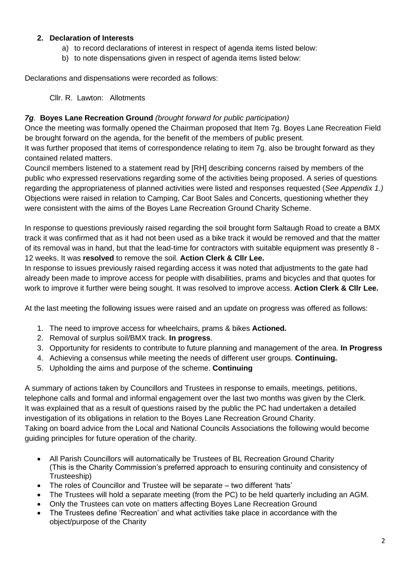## **2. Declaration of Interests**

- a) to record declarations of interest in respect of agenda items listed below:
- b) to note dispensations given in respect of agenda items listed below:

Declarations and dispensations were recorded as follows:

Cllr. R. Lawton: Allotments

# *7g.* **Boyes Lane Recreation Ground** *(brought forward for public participation)*

Once the meeting was formally opened the Chairman proposed that Item 7g. Boyes Lane Recreation Field be brought forward on the agenda, for the benefit of the members of public present.

It was further proposed that items of correspondence relating to item 7g. also be brought forward as they contained related matters.

Council members listened to a statement read by [RH] describing concerns raised by members of the public who expressed reservations regarding some of the activities being proposed. A series of questions regarding the appropriateness of planned activities were listed and responses requested (*See Appendix 1.)* Objections were raised in relation to Camping, Car Boot Sales and Concerts, questioning whether they were consistent with the aims of the Boyes Lane Recreation Ground Charity Scheme.

In response to questions previously raised regarding the soil brought form Saltaugh Road to create a BMX track it was confirmed that as it had not been used as a bike track it would be removed and that the matter of its removal was in hand, but that the lead-time for contractors with suitable equipment was presently 8 - 12 weeks. It was **resolved** to remove the soil. **Action Clerk & Cllr Lee.**

In response to issues previously raised regarding access it was noted that adjustments to the gate had already been made to improve access for people with disabilities, prams and bicycles and that quotes for work to improve it further were being sought. It was resolved to improve access. **Action Clerk & Cllr Lee.**

At the last meeting the following issues were raised and an update on progress was offered as follows:

- 1. The need to improve access for wheelchairs, prams & bikes **Actioned.**
- 2. Removal of surplus soil/BMX track. **In progress**.
- 3. Opportunity for residents to contribute to future planning and management of the area. **In Progress**
- 4. Achieving a consensus while meeting the needs of different user groups. **Continuing.**
- 5. Upholding the aims and purpose of the scheme. **Continuing**

A summary of actions taken by Councillors and Trustees in response to emails, meetings, petitions, telephone calls and formal and informal engagement over the last two months was given by the Clerk. It was explained that as a result of questions raised by the public the PC had undertaken a detailed investigation of its obligations in relation to the Boyes Lane Recreation Ground Charity. Taking on board advice from the Local and National Councils Associations the following would become guiding principles for future operation of the charity.

- All Parish Councillors will automatically be Trustees of BL Recreation Ground Charity (This is the Charity Commission's preferred approach to ensuring continuity and consistency of Trusteeship)
- The roles of Councillor and Trustee will be separate two different 'hats'
- The Trustees will hold a separate meeting (from the PC) to be held quarterly including an AGM.
- Only the Trustees can vote on matters affecting Boyes Lane Recreation Ground
- The Trustees define 'Recreation' and what activities take place in accordance with the object/purpose of the Charity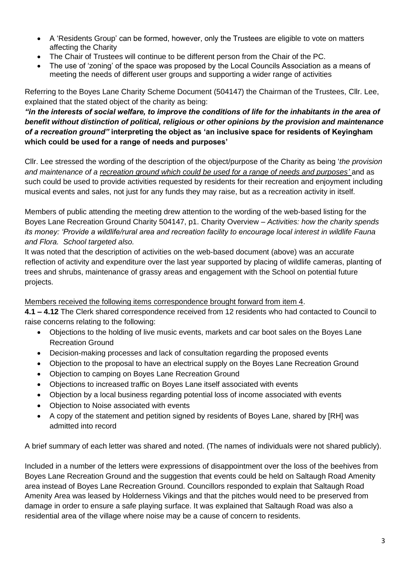- A 'Residents Group' can be formed, however, only the Trustees are eligible to vote on matters affecting the Charity
- The Chair of Trustees will continue to be different person from the Chair of the PC.
- The use of 'zoning' of the space was proposed by the Local Councils Association as a means of meeting the needs of different user groups and supporting a wider range of activities

Referring to the Boyes Lane Charity Scheme Document (504147) the Chairman of the Trustees, Cllr. Lee, explained that the stated object of the charity as being:

# *"in the interests of social welfare, to improve the conditions of life for the inhabitants in the area of benefit without distinction of political, religious or other opinions by the provision and maintenance of a recreation ground"* **interpreting the object as 'an inclusive space for residents of Keyingham which could be used for a range of needs and purposes'**

Cllr. Lee stressed the wording of the description of the object/purpose of the Charity as being '*the provision and maintenance of a recreation ground which could be used for a range of needs and purposes'* and as such could be used to provide activities requested by residents for their recreation and enjoyment including musical events and sales, not just for any funds they may raise, but as a recreation activity in itself.

Members of public attending the meeting drew attention to the wording of the web-based listing for the Boyes Lane Recreation Ground Charity 504147, p1. Charity Overview – *Activities: how the charity spends its money: 'Provide a wildlife/rural area and recreation facility to encourage local interest in wildlife Fauna and Flora. School targeted also.*

It was noted that the description of activities on the web-based document (above) was an accurate reflection of activity and expenditure over the last year supported by placing of wildlife cameras, planting of trees and shrubs, maintenance of grassy areas and engagement with the School on potential future projects.

## Members received the following items correspondence brought forward from item 4.

**4.1 – 4.12** The Clerk shared correspondence received from 12 residents who had contacted to Council to raise concerns relating to the following:

- Objections to the holding of live music events, markets and car boot sales on the Boyes Lane Recreation Ground
- Decision-making processes and lack of consultation regarding the proposed events
- Objection to the proposal to have an electrical supply on the Boyes Lane Recreation Ground
- Objection to camping on Boyes Lane Recreation Ground
- Objections to increased traffic on Boyes Lane itself associated with events
- Objection by a local business regarding potential loss of income associated with events
- Objection to Noise associated with events
- A copy of the statement and petition signed by residents of Boyes Lane, shared by [RH] was admitted into record

A brief summary of each letter was shared and noted. (The names of individuals were not shared publicly).

Included in a number of the letters were expressions of disappointment over the loss of the beehives from Boyes Lane Recreation Ground and the suggestion that events could be held on Saltaugh Road Amenity area instead of Boyes Lane Recreation Ground. Councillors responded to explain that Saltaugh Road Amenity Area was leased by Holderness Vikings and that the pitches would need to be preserved from damage in order to ensure a safe playing surface. It was explained that Saltaugh Road was also a residential area of the village where noise may be a cause of concern to residents.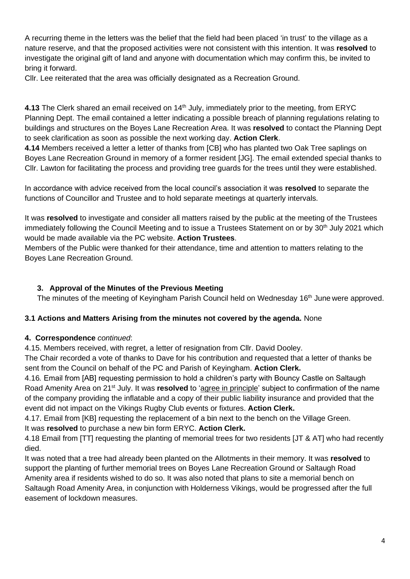A recurring theme in the letters was the belief that the field had been placed 'in trust' to the village as a nature reserve, and that the proposed activities were not consistent with this intention. It was **resolved** to investigate the original gift of land and anyone with documentation which may confirm this, be invited to bring it forward.

Cllr. Lee reiterated that the area was officially designated as a Recreation Ground.

**4.13** The Clerk shared an email received on 14<sup>th</sup> July, immediately prior to the meeting, from ERYC Planning Dept. The email contained a letter indicating a possible breach of planning regulations relating to buildings and structures on the Boyes Lane Recreation Area. It was **resolved** to contact the Planning Dept to seek clarification as soon as possible the next working day. **Action Clerk**.

**4.14** Members received a letter a letter of thanks from [CB] who has planted two Oak Tree saplings on Boyes Lane Recreation Ground in memory of a former resident [JG]. The email extended special thanks to Cllr. Lawton for facilitating the process and providing tree guards for the trees until they were established.

In accordance with advice received from the local council's association it was **resolved** to separate the functions of Councillor and Trustee and to hold separate meetings at quarterly intervals.

It was **resolved** to investigate and consider all matters raised by the public at the meeting of the Trustees immediately following the Council Meeting and to issue a Trustees Statement on or by 30<sup>th</sup> July 2021 which would be made available via the PC website. **Action Trustees**.

Members of the Public were thanked for their attendance, time and attention to matters relating to the Boyes Lane Recreation Ground.

# **3. Approval of the Minutes of the Previous Meeting**

The minutes of the meeting of Keyingham Parish Council held on Wednesday 16<sup>th</sup> June were approved.

## **3.1 Actions and Matters Arising from the minutes not covered by the agenda.** None

## **4. Correspondence** *continued*:

4.15. Members received, with regret, a letter of resignation from Cllr. David Dooley.

The Chair recorded a vote of thanks to Dave for his contribution and requested that a letter of thanks be sent from the Council on behalf of the PC and Parish of Keyingham. **Action Clerk.**

4.16*.* Email from [AB] requesting permission to hold a children's party with Bouncy Castle on Saltaugh Road Amenity Area on 21<sup>st</sup> July. It was **resolved** to 'agree in principle' subject to confirmation of the name of the company providing the inflatable and a copy of their public liability insurance and provided that the event did not impact on the Vikings Rugby Club events or fixtures. **Action Clerk.**

4.17. Email from [KB] requesting the replacement of a bin next to the bench on the Village Green.

It was **resolved** to purchase a new bin form ERYC. **Action Clerk.**

4.18 Email from [TT] requesting the planting of memorial trees for two residents [JT & AT] who had recently died.

It was noted that a tree had already been planted on the Allotments in their memory. It was **resolved** to support the planting of further memorial trees on Boyes Lane Recreation Ground or Saltaugh Road Amenity area if residents wished to do so. It was also noted that plans to site a memorial bench on Saltaugh Road Amenity Area, in conjunction with Holderness Vikings, would be progressed after the full easement of lockdown measures.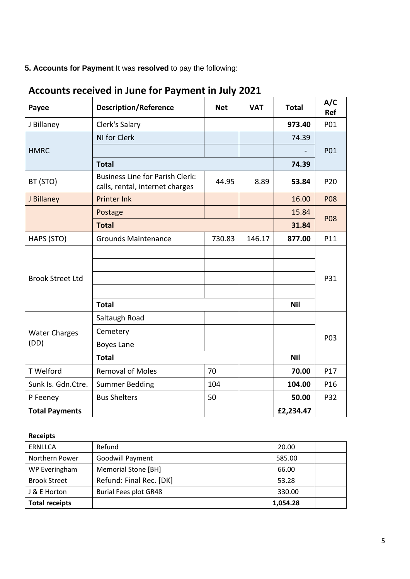**5. Accounts for Payment** It was **resolved** to pay the following:

| Payee                        | <b>Description/Reference</b>                                              | <b>Net</b> | <b>VAT</b> | <b>Total</b> | A/C<br>Ref |
|------------------------------|---------------------------------------------------------------------------|------------|------------|--------------|------------|
| J Billaney                   | Clerk's Salary                                                            |            |            | 973.40       | P01        |
| <b>HMRC</b>                  | NI for Clerk                                                              |            |            | 74.39        | P01        |
|                              |                                                                           |            |            |              |            |
|                              | <b>Total</b>                                                              |            |            | 74.39        |            |
| BT (STO)                     | <b>Business Line for Parish Clerk:</b><br>calls, rental, internet charges | 44.95      | 8.89       | 53.84        | P20        |
| J Billaney                   | <b>Printer Ink</b>                                                        |            |            | 16.00        | <b>P08</b> |
|                              | Postage                                                                   |            |            | 15.84        |            |
|                              | <b>Total</b>                                                              |            |            | 31.84        | <b>P08</b> |
| HAPS (STO)                   | <b>Grounds Maintenance</b>                                                | 730.83     | 146.17     | 877.00       | P11        |
| <b>Brook Street Ltd</b>      |                                                                           |            |            |              | P31        |
|                              |                                                                           |            |            |              |            |
|                              |                                                                           |            |            |              |            |
|                              | <b>Total</b>                                                              |            |            | <b>Nil</b>   |            |
| <b>Water Charges</b><br>(DD) | Saltaugh Road                                                             |            |            |              | P03        |
|                              | Cemetery                                                                  |            |            |              |            |
|                              | Boyes Lane                                                                |            |            |              |            |
|                              | <b>Total</b>                                                              |            |            | <b>Nil</b>   |            |
| T Welford                    | <b>Removal of Moles</b>                                                   | 70         |            | 70.00        | P17        |
| Sunk Is. Gdn.Ctre.           | <b>Summer Bedding</b>                                                     | 104        |            | 104.00       | P16        |
| P Feeney                     | <b>Bus Shelters</b>                                                       | 50         |            | 50.00        | P32        |
| <b>Total Payments</b>        |                                                                           |            |            | £2,234.47    |            |

# **Accounts received in June for Payment in July 2021**

#### **Receipts**

| ERNLLCA               | Refund                       | 20.00    |  |
|-----------------------|------------------------------|----------|--|
| Northern Power        | <b>Goodwill Payment</b>      | 585.00   |  |
| WP Everingham         | Memorial Stone [BH]          | 66.00    |  |
| <b>Brook Street</b>   | Refund: Final Rec. [DK]      | 53.28    |  |
| J & E Horton          | <b>Burial Fees plot GR48</b> | 330.00   |  |
| <b>Total receipts</b> |                              | 1,054.28 |  |